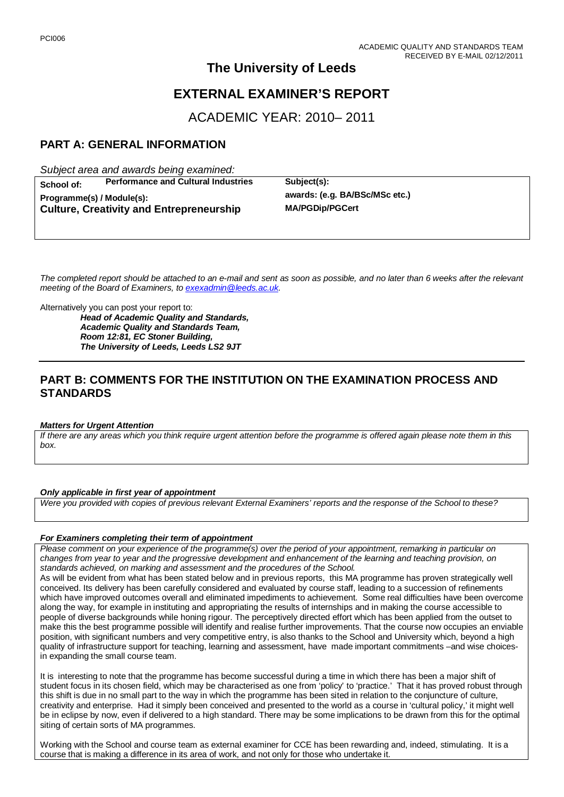# **The University of Leeds**

# **EXTERNAL EXAMINER'S REPORT**

ACADEMIC YEAR: 2010– 2011

## **PART A: GENERAL INFORMATION**

*Subject area and awards being examined:*

**School of: Performance and Cultural Industries Subject(s): Programme(s) / Module(s): awards: (e.g. BA/BSc/MSc etc.) Culture, Creativity and Entrepreneurship** 

*The completed report should be attached to an e-mail and sent as soon as possible, and no later than 6 weeks after the relevant meeting of the Board of Examiners, to [exexadmin@leeds.ac.uk.](mailto:exexadmin@leeds.ac.uk)*

Alternatively you can post your report to:

*Head of Academic Quality and Standards, Academic Quality and Standards Team, Room 12:81, EC Stoner Building, The University of Leeds, Leeds LS2 9JT*

### **PART B: COMMENTS FOR THE INSTITUTION ON THE EXAMINATION PROCESS AND STANDARDS**

### *Matters for Urgent Attention*

*If there are any areas which you think require urgent attention before the programme is offered again please note them in this box.*

### *Only applicable in first year of appointment*

*Were you provided with copies of previous relevant External Examiners' reports and the response of the School to these?* 

### *For Examiners completing their term of appointment*

*Please comment on your experience of the programme(s) over the period of your appointment, remarking in particular on changes from year to year and the progressive development and enhancement of the learning and teaching provision, on standards achieved, on marking and assessment and the procedures of the School.* 

As will be evident from what has been stated below and in previous reports, this MA programme has proven strategically well conceived. Its delivery has been carefully considered and evaluated by course staff, leading to a succession of refinements which have improved outcomes overall and eliminated impediments to achievement. Some real difficulties have been overcome along the way, for example in instituting and appropriating the results of internships and in making the course accessible to people of diverse backgrounds while honing rigour. The perceptively directed effort which has been applied from the outset to make this the best programme possible will identify and realise further improvements. That the course now occupies an enviable position, with significant numbers and very competitive entry, is also thanks to the School and University which, beyond a high quality of infrastructure support for teaching, learning and assessment, have made important commitments –and wise choicesin expanding the small course team.

It is interesting to note that the programme has become successful during a time in which there has been a major shift of student focus in its chosen field, which may be characterised as one from 'policy' to 'practice.' That it has proved robust through this shift is due in no small part to the way in which the programme has been sited in relation to the conjuncture of culture, creativity and enterprise. Had it simply been conceived and presented to the world as a course in 'cultural policy,' it might well be in eclipse by now, even if delivered to a high standard. There may be some implications to be drawn from this for the optimal siting of certain sorts of MA programmes.

Working with the School and course team as external examiner for CCE has been rewarding and, indeed, stimulating. It is a course that is making a difference in its area of work, and not only for those who undertake it.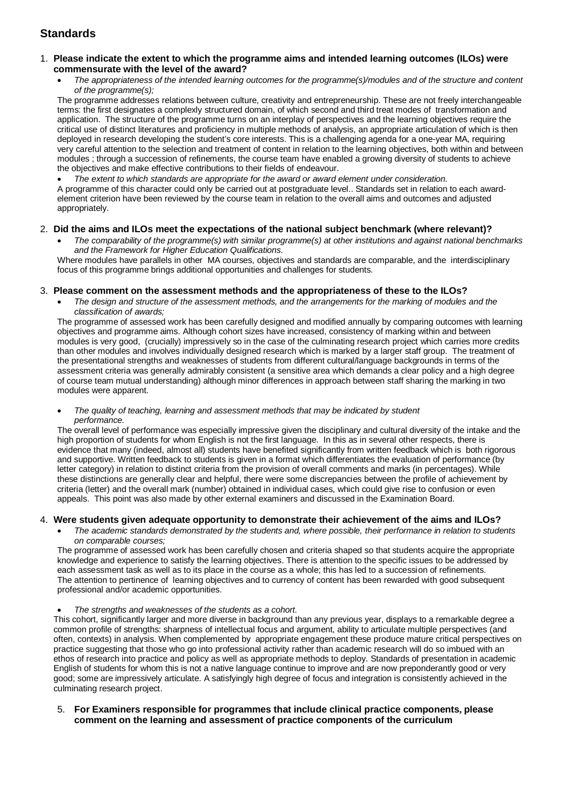## **Standards**

### 1. **Please indicate the extent to which the programme aims and intended learning outcomes (ILOs) were commensurate with the level of the award?**

• *The appropriateness of the intended learning outcomes for the programme(s)/modules and of the structure and content of the programme(s);*

The programme addresses relations between culture, creativity and entrepreneurship. These are not freely interchangeable terms: the first designates a complexly structured domain, of which second and third treat modes of transformation and application. The structure of the programme turns on an interplay of perspectives and the learning objectives require the critical use of distinct literatures and proficiency in multiple methods of analysis, an appropriate articulation of which is then deployed in research developing the student's core interests. This is a challenging agenda for a one-year MA, requiring very careful attention to the selection and treatment of content in relation to the learning objectives, both within and between modules ; through a succession of refinements, the course team have enabled a growing diversity of students to achieve the objectives and make effective contributions to their fields of endeavour.

• *The extent to which standards are appropriate for the award or award element under consideration.*  A programme of this character could only be carried out at postgraduate level.. Standards set in relation to each awardelement criterion have been reviewed by the course team in relation to the overall aims and outcomes and adjusted appropriately.

### 2. **Did the aims and ILOs meet the expectations of the national subject benchmark (where relevant)?**

• *The comparability of the programme(s) with similar programme(s) at other institutions and against national benchmarks and the Framework for Higher Education Qualifications.* 

Where modules have parallels in other MA courses, objectives and standards are comparable, and the interdisciplinary focus of this programme brings additional opportunities and challenges for students.

### 3. **Please comment on the assessment methods and the appropriateness of these to the ILOs?**

• *The design and structure of the assessment methods, and the arrangements for the marking of modules and the classification of awards;* 

The programme of assessed work has been carefully designed and modified annually by comparing outcomes with learning objectives and programme aims. Although cohort sizes have increased, consistency of marking within and between modules is very good, (crucially) impressively so in the case of the culminating research project which carries more credits than other modules and involves individually designed research which is marked by a larger staff group. The treatment of the presentational strengths and weaknesses of students from different cultural/language backgrounds in terms of the assessment criteria was generally admirably consistent (a sensitive area which demands a clear policy and a high degree of course team mutual understanding) although minor differences in approach between staff sharing the marking in two modules were apparent.

#### • *The quality of teaching, learning and assessment methods that may be indicated by student performance.*

The overall level of performance was especially impressive given the disciplinary and cultural diversity of the intake and the high proportion of students for whom English is not the first language. In this as in several other respects, there is evidence that many (indeed, almost all) students have benefited significantly from written feedback which is both rigorous and supportive. Written feedback to students is given in a format which differentiates the evaluation of performance (by letter category) in relation to distinct criteria from the provision of overall comments and marks (in percentages). While these distinctions are generally clear and helpful, there were some discrepancies between the profile of achievement by criteria (letter) and the overall mark (number) obtained in individual cases, which could give rise to confusion or even appeals. This point was also made by other external examiners and discussed in the Examination Board.

### 4. **Were students given adequate opportunity to demonstrate their achievement of the aims and ILOs?**

• *The academic standards demonstrated by the students and, where possible, their performance in relation to students on comparable courses;* 

The programme of assessed work has been carefully chosen and criteria shaped so that students acquire the appropriate knowledge and experience to satisfy the learning objectives. There is attention to the specific issues to be addressed by each assessment task as well as to its place in the course as a whole; this has led to a succession of refinements. The attention to pertinence of learning objectives and to currency of content has been rewarded with good subsequent professional and/or academic opportunities.

• *The strengths and weaknesses of the students as a cohort.*

This cohort, significantly larger and more diverse in background than any previous year, displays to a remarkable degree a common profile of strengths: sharpness of intellectual focus and argument, ability to articulate multiple perspectives (and often, contexts) in analysis. When complemented by appropriate engagement these produce mature critical perspectives on practice suggesting that those who go into professional activity rather than academic research will do so imbued with an ethos of research into practice and policy as well as appropriate methods to deploy. Standards of presentation in academic English of students for whom this is not a native language continue to improve and are now preponderantly good or very good; some are impressively articulate. A satisfyingly high degree of focus and integration is consistently achieved in the culminating research project.

5. **For Examiners responsible for programmes that include clinical practice components, please comment on the learning and assessment of practice components of the curriculum**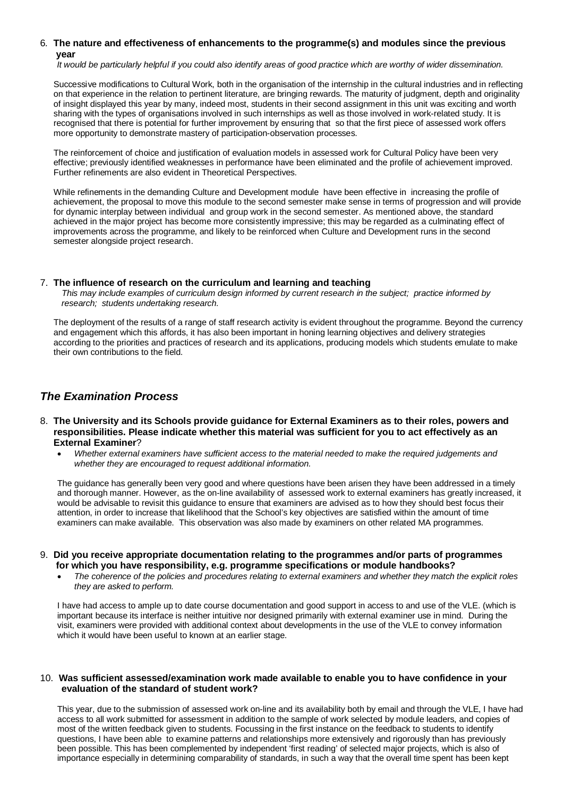### 6*.* **The nature and effectiveness of enhancements to the programme(s) and modules since the previous year**

 *It would be particularly helpful if you could also identify areas of good practice which are worthy of wider dissemination.*

Successive modifications to Cultural Work, both in the organisation of the internship in the cultural industries and in reflecting on that experience in the relation to pertinent literature, are bringing rewards. The maturity of judgment, depth and originality of insight displayed this year by many, indeed most, students in their second assignment in this unit was exciting and worth sharing with the types of organisations involved in such internships as well as those involved in work-related study. It is recognised that there is potential for further improvement by ensuring that so that the first piece of assessed work offers more opportunity to demonstrate mastery of participation-observation processes.

The reinforcement of choice and justification of evaluation models in assessed work for Cultural Policy have been very effective; previously identified weaknesses in performance have been eliminated and the profile of achievement improved. Further refinements are also evident in Theoretical Perspectives.

While refinements in the demanding Culture and Development module have been effective in increasing the profile of achievement, the proposal to move this module to the second semester make sense in terms of progression and will provide for dynamic interplay between individual and group work in the second semester. As mentioned above, the standard achieved in the major project has become more consistently impressive; this may be regarded as a culminating effect of improvements across the programme, and likely to be reinforced when Culture and Development runs in the second semester alongside project research.

### 7.**The influence of research on the curriculum and learning and teaching**

 *This may include examples of curriculum design informed by current research in the subject; practice informed by research; students undertaking research.* 

The deployment of the results of a range of staff research activity is evident throughout the programme. Beyond the currency and engagement which this affords, it has also been important in honing learning objectives and delivery strategies according to the priorities and practices of research and its applications, producing models which students emulate to make their own contributions to the field.

## *The Examination Process*

- 8. **The University and its Schools provide guidance for External Examiners as to their roles, powers and responsibilities. Please indicate whether this material was sufficient for you to act effectively as an External Examiner**?
	- *Whether external examiners have sufficient access to the material needed to make the required judgements and whether they are encouraged to request additional information.*

The guidance has generally been very good and where questions have been arisen they have been addressed in a timely and thorough manner. However, as the on-line availability of assessed work to external examiners has greatly increased, it would be advisable to revisit this guidance to ensure that examiners are advised as to how they should best focus their attention, in order to increase that likelihood that the School's key objectives are satisfied within the amount of time examiners can make available. This observation was also made by examiners on other related MA programmes.

#### 9. **Did you receive appropriate documentation relating to the programmes and/or parts of programmes for which you have responsibility, e.g. programme specifications or module handbooks?**

• *The coherence of the policies and procedures relating to external examiners and whether they match the explicit roles they are asked to perform.* 

I have had access to ample up to date course documentation and good support in access to and use of the VLE. (which is important because its interface is neither intuitive nor designed primarily with external examiner use in mind. During the visit, examiners were provided with additional context about developments in the use of the VLE to convey information which it would have been useful to known at an earlier stage.

#### 10. **Was sufficient assessed/examination work made available to enable you to have confidence in your evaluation of the standard of student work?**

This year, due to the submission of assessed work on-line and its availability both by email and through the VLE, I have had access to all work submitted for assessment in addition to the sample of work selected by module leaders, and copies of most of the written feedback given to students. Focussing in the first instance on the feedback to students to identify questions, I have been able to examine patterns and relationships more extensively and rigorously than has previously been possible. This has been complemented by independent 'first reading' of selected major projects, which is also of importance especially in determining comparability of standards, in such a way that the overall time spent has been kept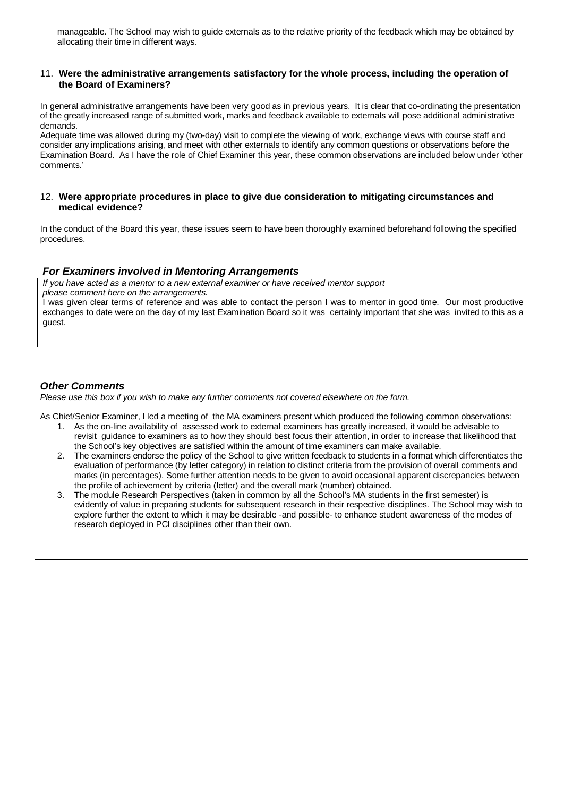manageable. The School may wish to guide externals as to the relative priority of the feedback which may be obtained by allocating their time in different ways.

#### 11. **Were the administrative arrangements satisfactory for the whole process, including the operation of the Board of Examiners?**

In general administrative arrangements have been very good as in previous years. It is clear that co-ordinating the presentation of the greatly increased range of submitted work, marks and feedback available to externals will pose additional administrative demands.

Adequate time was allowed during my (two-day) visit to complete the viewing of work, exchange views with course staff and consider any implications arising, and meet with other externals to identify any common questions or observations before the Examination Board. As I have the role of Chief Examiner this year, these common observations are included below under 'other comments.'

#### 12. **Were appropriate procedures in place to give due consideration to mitigating circumstances and medical evidence?**

In the conduct of the Board this year, these issues seem to have been thoroughly examined beforehand following the specified procedures.

### *For Examiners involved in Mentoring Arrangements*

*If you have acted as a mentor to a new external examiner or have received mentor support please comment here on the arrangements.* I was given clear terms of reference and was able to contact the person I was to mentor in good time. Our most productive exchanges to date were on the day of my last Examination Board so it was certainly important that she was invited to this as a guest.

### *Other Comments*

*Please use this box if you wish to make any further comments not covered elsewhere on the form.*

As Chief/Senior Examiner, I led a meeting of the MA examiners present which produced the following common observations:

- 1. As the on-line availability of assessed work to external examiners has greatly increased, it would be advisable to revisit guidance to examiners as to how they should best focus their attention, in order to increase that likelihood that the School's key objectives are satisfied within the amount of time examiners can make available.
- 2. The examiners endorse the policy of the School to give written feedback to students in a format which differentiates the evaluation of performance (by letter category) in relation to distinct criteria from the provision of overall comments and marks (in percentages). Some further attention needs to be given to avoid occasional apparent discrepancies between the profile of achievement by criteria (letter) and the overall mark (number) obtained.
- 3. The module Research Perspectives (taken in common by all the School's MA students in the first semester) is evidently of value in preparing students for subsequent research in their respective disciplines. The School may wish to explore further the extent to which it may be desirable -and possible- to enhance student awareness of the modes of research deployed in PCI disciplines other than their own.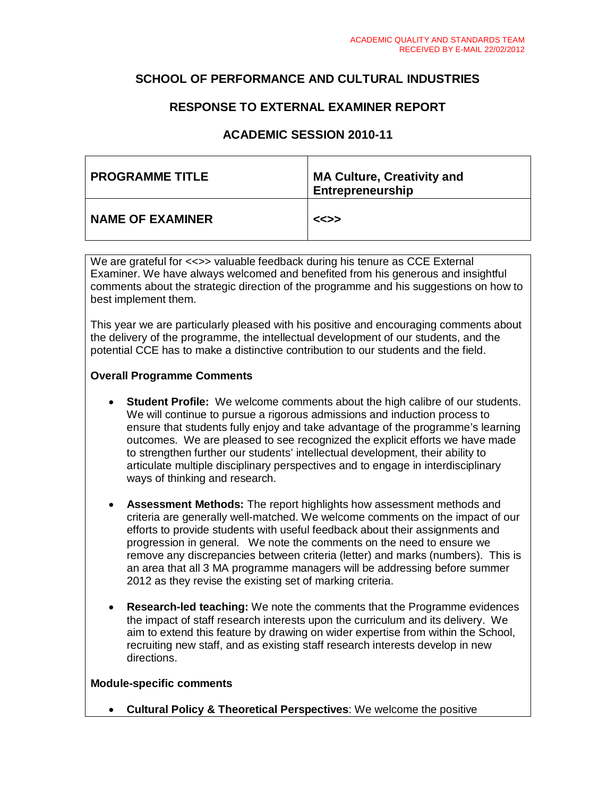## **SCHOOL OF PERFORMANCE AND CULTURAL INDUSTRIES**

## **RESPONSE TO EXTERNAL EXAMINER REPORT**

### **ACADEMIC SESSION 2010-11**

| <b>PROGRAMME TITLE</b>  | <b>MA Culture, Creativity and</b><br>Entrepreneurship |
|-------------------------|-------------------------------------------------------|
| <b>NAME OF EXAMINER</b> | <<>>                                                  |

We are grateful for <<>> valuable feedback during his tenure as CCE External Examiner. We have always welcomed and benefited from his generous and insightful comments about the strategic direction of the programme and his suggestions on how to best implement them.

This year we are particularly pleased with his positive and encouraging comments about the delivery of the programme, the intellectual development of our students, and the potential CCE has to make a distinctive contribution to our students and the field.

### **Overall Programme Comments**

- **Student Profile:** We welcome comments about the high calibre of our students. We will continue to pursue a rigorous admissions and induction process to ensure that students fully enjoy and take advantage of the programme's learning outcomes. We are pleased to see recognized the explicit efforts we have made to strengthen further our students' intellectual development, their ability to articulate multiple disciplinary perspectives and to engage in interdisciplinary ways of thinking and research.
- **Assessment Methods:** The report highlights how assessment methods and criteria are generally well-matched. We welcome comments on the impact of our efforts to provide students with useful feedback about their assignments and progression in general. We note the comments on the need to ensure we remove any discrepancies between criteria (letter) and marks (numbers). This is an area that all 3 MA programme managers will be addressing before summer 2012 as they revise the existing set of marking criteria.
- **Research-led teaching:** We note the comments that the Programme evidences the impact of staff research interests upon the curriculum and its delivery. We aim to extend this feature by drawing on wider expertise from within the School, recruiting new staff, and as existing staff research interests develop in new directions.

### **Module-specific comments**

• **Cultural Policy & Theoretical Perspectives**: We welcome the positive